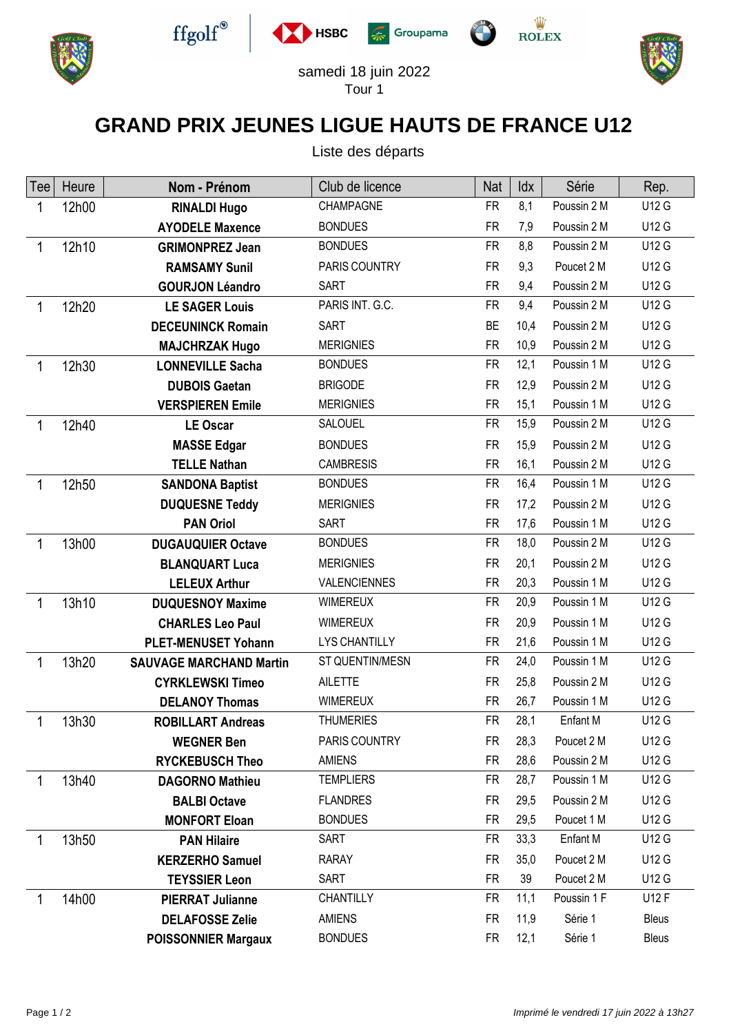









samedi 18 juin 2022 Tour 1

## **GRAND PRIX JEUNES LIGUE HAUTS DE FRANCE U12**

Liste des départs

| Tee | Heure | Nom - Prénom                   | Club de licence      | Nat       | Idx  | Série       | Rep.         |
|-----|-------|--------------------------------|----------------------|-----------|------|-------------|--------------|
| 1   | 12h00 | <b>RINALDI Hugo</b>            | CHAMPAGNE            | <b>FR</b> | 8,1  | Poussin 2 M | U12 G        |
|     |       | <b>AYODELE Maxence</b>         | <b>BONDUES</b>       | <b>FR</b> | 7,9  | Poussin 2 M | U12 G        |
| 1   | 12h10 | <b>GRIMONPREZ Jean</b>         | <b>BONDUES</b>       | <b>FR</b> | 8,8  | Poussin 2 M | U12 G        |
|     |       | <b>RAMSAMY Sunil</b>           | PARIS COUNTRY        | <b>FR</b> | 9,3  | Poucet 2 M  | U12 G        |
|     |       | <b>GOURJON Léandro</b>         | <b>SART</b>          | <b>FR</b> | 9,4  | Poussin 2 M | U12 G        |
| 1   | 12h20 | <b>LE SAGER Louis</b>          | PARIS INT. G.C.      | <b>FR</b> | 9,4  | Poussin 2 M | U12 G        |
|     |       | <b>DECEUNINCK Romain</b>       | <b>SART</b>          | <b>BE</b> | 10,4 | Poussin 2 M | <b>U12 G</b> |
|     |       | <b>MAJCHRZAK Hugo</b>          | <b>MERIGNIES</b>     | <b>FR</b> | 10,9 | Poussin 2 M | U12 G        |
| 1   | 12h30 | <b>LONNEVILLE Sacha</b>        | <b>BONDUES</b>       | <b>FR</b> | 12,1 | Poussin 1 M | U12 G        |
|     |       | <b>DUBOIS Gaetan</b>           | <b>BRIGODE</b>       | <b>FR</b> | 12,9 | Poussin 2 M | U12 G        |
|     |       | <b>VERSPIEREN Emile</b>        | <b>MERIGNIES</b>     | <b>FR</b> | 15,1 | Poussin 1 M | U12 G        |
| 1   | 12h40 | <b>LE Oscar</b>                | <b>SALOUEL</b>       | <b>FR</b> | 15,9 | Poussin 2 M | U12 G        |
|     |       | <b>MASSE Edgar</b>             | <b>BONDUES</b>       | <b>FR</b> | 15,9 | Poussin 2 M | U12 G        |
|     |       | <b>TELLE Nathan</b>            | <b>CAMBRESIS</b>     | <b>FR</b> | 16,1 | Poussin 2 M | U12 G        |
| 1   | 12h50 | <b>SANDONA Baptist</b>         | <b>BONDUES</b>       | <b>FR</b> | 16,4 | Poussin 1 M | U12 G        |
|     |       | <b>DUQUESNE Teddy</b>          | <b>MERIGNIES</b>     | <b>FR</b> | 17,2 | Poussin 2 M | U12 G        |
|     |       | <b>PAN Oriol</b>               | <b>SART</b>          | <b>FR</b> | 17,6 | Poussin 1 M | U12 G        |
| 1   | 13h00 | <b>DUGAUQUIER Octave</b>       | <b>BONDUES</b>       | <b>FR</b> | 18,0 | Poussin 2 M | U12 G        |
|     |       | <b>BLANQUART Luca</b>          | <b>MERIGNIES</b>     | <b>FR</b> | 20,1 | Poussin 2 M | U12 G        |
|     |       | <b>LELEUX Arthur</b>           | <b>VALENCIENNES</b>  | <b>FR</b> | 20,3 | Poussin 1 M | U12 G        |
| 1   | 13h10 | <b>DUQUESNOY Maxime</b>        | <b>WIMEREUX</b>      | <b>FR</b> | 20,9 | Poussin 1 M | U12 G        |
|     |       | <b>CHARLES Leo Paul</b>        | <b>WIMEREUX</b>      | <b>FR</b> | 20,9 | Poussin 1 M | U12 G        |
|     |       | <b>PLET-MENUSET Yohann</b>     | <b>LYS CHANTILLY</b> | <b>FR</b> | 21,6 | Poussin 1 M | U12 G        |
| 1   | 13h20 | <b>SAUVAGE MARCHAND Martin</b> | ST QUENTIN/MESN      | <b>FR</b> | 24,0 | Poussin 1 M | U12 G        |
|     |       | <b>CYRKLEWSKI Timeo</b>        | <b>AILETTE</b>       | <b>FR</b> | 25,8 | Poussin 2 M | U12 G        |
|     |       | <b>DELANOY Thomas</b>          | <b>WIMEREUX</b>      | <b>FR</b> | 26,7 | Poussin 1 M | U12 G        |
| 1   | 13h30 | <b>ROBILLART Andreas</b>       | <b>THUMERIES</b>     | <b>FR</b> | 28,1 | Enfant M    | U12 G        |
|     |       | <b>WEGNER Ben</b>              | PARIS COUNTRY        | FR        | 28,3 | Poucet 2 M  | U12 G        |
|     |       | <b>RYCKEBUSCH Theo</b>         | <b>AMIENS</b>        | <b>FR</b> | 28,6 | Poussin 2 M | U12 G        |
| 1   | 13h40 | <b>DAGORNO Mathieu</b>         | <b>TEMPLIERS</b>     | FR.       | 28,7 | Poussin 1 M | U12 G        |
|     |       | <b>BALBI Octave</b>            | <b>FLANDRES</b>      | <b>FR</b> | 29,5 | Poussin 2 M | U12 G        |
|     |       | <b>MONFORT Eloan</b>           | <b>BONDUES</b>       | <b>FR</b> | 29,5 | Poucet 1 M  | U12 G        |
| 1   | 13h50 | <b>PAN Hilaire</b>             | SART                 | <b>FR</b> | 33,3 | Enfant M    | U12 G        |
|     |       | <b>KERZERHO Samuel</b>         | <b>RARAY</b>         | <b>FR</b> | 35,0 | Poucet 2 M  | U12 G        |
|     |       | <b>TEYSSIER Leon</b>           | <b>SART</b>          | <b>FR</b> | 39   | Poucet 2 M  | U12 G        |
|     | 14h00 | <b>PIERRAT Julianne</b>        | CHANTILLY            | <b>FR</b> | 11,1 | Poussin 1 F | U12 F        |
|     |       | <b>DELAFOSSE Zelie</b>         | <b>AMIENS</b>        | <b>FR</b> | 11,9 | Série 1     | <b>Bleus</b> |
|     |       | <b>POISSONNIER Margaux</b>     | <b>BONDUES</b>       | FR        | 12,1 | Série 1     | Bleus        |